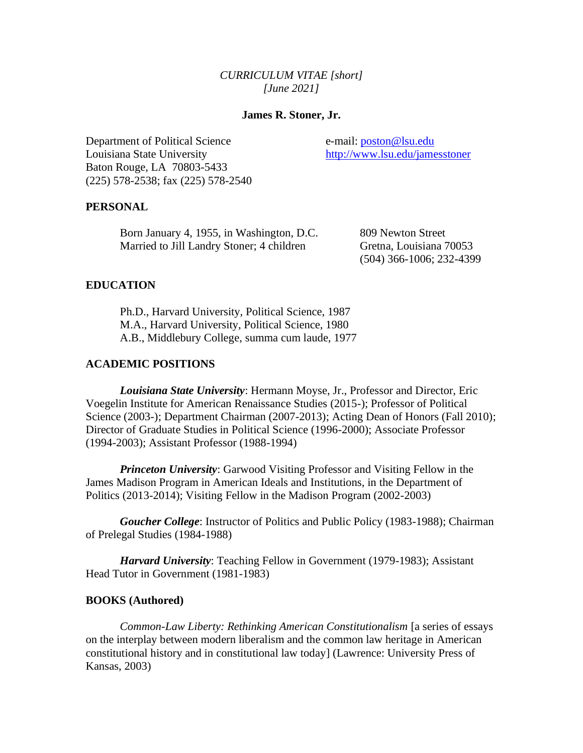## *CURRICULUM VITAE [short] [June 2021]*

### **James R. Stoner, Jr.**

Department of Political Science e-mail: [poston@lsu.edu](mailto:poston@lsu.edu) Louisiana State University <http://www.lsu.edu/jamesstoner> Baton Rouge, LA 70803-5433 (225) 578-2538; fax (225) 578-2540

#### **PERSONAL**

Born January 4, 1955, in Washington, D.C. 809 Newton Street Married to Jill Landry Stoner; 4 children Gretna, Louisiana 70053

(504) 366-1006; 232-4399

#### **EDUCATION**

Ph.D., Harvard University, Political Science, 1987 M.A., Harvard University, Political Science, 1980 A.B., Middlebury College, summa cum laude, 1977

## **ACADEMIC POSITIONS**

*Louisiana State University*: Hermann Moyse, Jr., Professor and Director, Eric Voegelin Institute for American Renaissance Studies (2015-); Professor of Political Science (2003-); Department Chairman (2007-2013); Acting Dean of Honors (Fall 2010); Director of Graduate Studies in Political Science (1996-2000); Associate Professor (1994-2003); Assistant Professor (1988-1994)

*Princeton University:* Garwood Visiting Professor and Visiting Fellow in the James Madison Program in American Ideals and Institutions, in the Department of Politics (2013-2014); Visiting Fellow in the Madison Program (2002-2003)

*Goucher College*: Instructor of Politics and Public Policy (1983-1988); Chairman of Prelegal Studies (1984-1988)

*Harvard University*: Teaching Fellow in Government (1979-1983); Assistant Head Tutor in Government (1981-1983)

#### **BOOKS (Authored)**

*Common-Law Liberty: Rethinking American Constitutionalism* [a series of essays on the interplay between modern liberalism and the common law heritage in American constitutional history and in constitutional law today] (Lawrence: University Press of Kansas, 2003)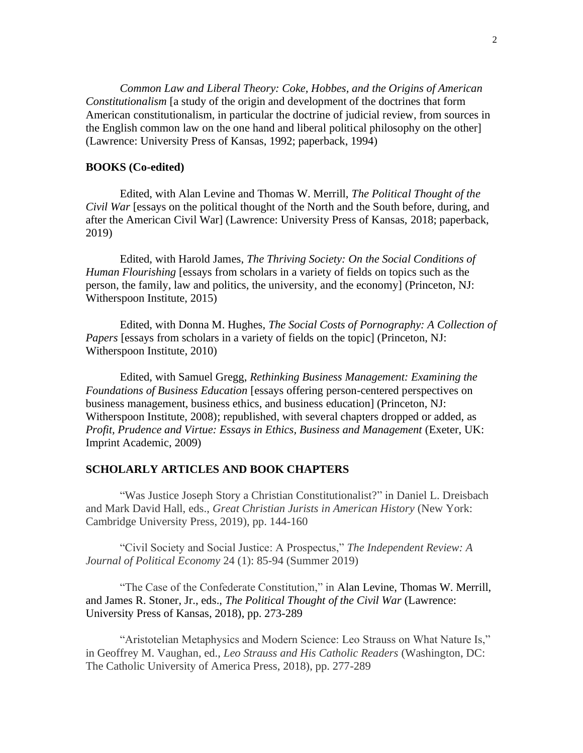*Common Law and Liberal Theory: Coke, Hobbes, and the Origins of American Constitutionalism* [a study of the origin and development of the doctrines that form American constitutionalism, in particular the doctrine of judicial review, from sources in the English common law on the one hand and liberal political philosophy on the other] (Lawrence: University Press of Kansas, 1992; paperback, 1994)

#### **BOOKS (Co-edited)**

Edited, with Alan Levine and Thomas W. Merrill, *The Political Thought of the Civil War* [essays on the political thought of the North and the South before, during, and after the American Civil War] (Lawrence: University Press of Kansas, 2018; paperback, 2019)

Edited, with Harold James, *The Thriving Society: On the Social Conditions of Human Flourishing* [essays from scholars in a variety of fields on topics such as the person, the family, law and politics, the university, and the economy] (Princeton, NJ: Witherspoon Institute, 2015)

Edited, with Donna M. Hughes, *The Social Costs of Pornography: A Collection of Papers* [essays from scholars in a variety of fields on the topic] (Princeton, NJ: Witherspoon Institute, 2010)

Edited, with Samuel Gregg, *Rethinking Business Management: Examining the Foundations of Business Education* [essays offering person-centered perspectives on business management, business ethics, and business education] (Princeton, NJ: Witherspoon Institute, 2008); republished, with several chapters dropped or added, as *Profit, Prudence and Virtue: Essays in Ethics, Business and Management* (Exeter, UK: Imprint Academic, 2009)

#### **SCHOLARLY ARTICLES AND BOOK CHAPTERS**

"Was Justice Joseph Story a Christian Constitutionalist?" in Daniel L. Dreisbach and Mark David Hall, eds., *Great Christian Jurists in American History* (New York: Cambridge University Press, 2019), pp. 144-160

"Civil Society and Social Justice: A Prospectus," *The Independent Review: A Journal of Political Economy* 24 (1): 85-94 (Summer 2019)

"The Case of the Confederate Constitution," in Alan Levine, Thomas W. Merrill, and James R. Stoner, Jr., eds., *The Political Thought of the Civil War* (Lawrence: University Press of Kansas, 2018), pp. 273-289

"Aristotelian Metaphysics and Modern Science: Leo Strauss on What Nature Is," in Geoffrey M. Vaughan, ed., *Leo Strauss and His Catholic Readers* (Washington, DC: The Catholic University of America Press, 2018), pp. 277-289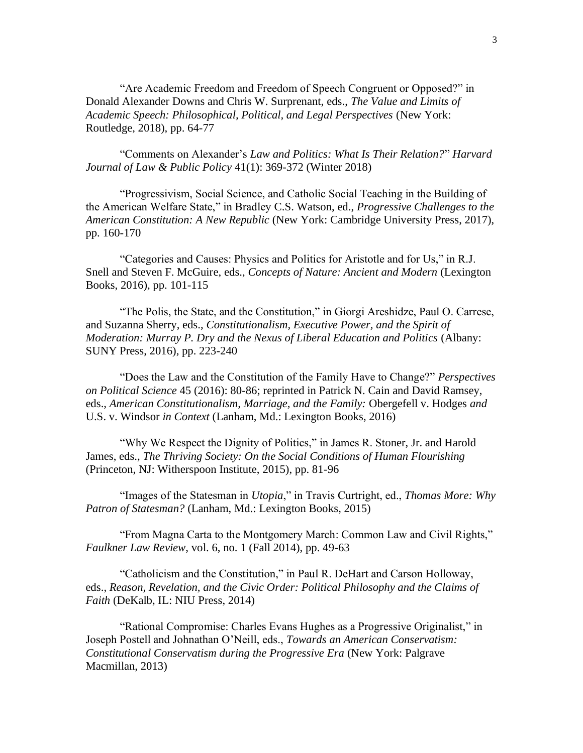"Are Academic Freedom and Freedom of Speech Congruent or Opposed?" in Donald Alexander Downs and Chris W. Surprenant, eds., *The Value and Limits of Academic Speech: Philosophical, Political, and Legal Perspectives* (New York: Routledge, 2018), pp. 64-77

"Comments on Alexander's *Law and Politics: What Is Their Relation?*" *Harvard Journal of Law & Public Policy* 41(1): 369-372 (Winter 2018)

"Progressivism, Social Science, and Catholic Social Teaching in the Building of the American Welfare State," in Bradley C.S. Watson, ed., *Progressive Challenges to the American Constitution: A New Republic* (New York: Cambridge University Press, 2017), pp. 160-170

"Categories and Causes: Physics and Politics for Aristotle and for Us," in R.J. Snell and Steven F. McGuire, eds., *Concepts of Nature: Ancient and Modern* (Lexington Books, 2016), pp. 101-115

"The Polis, the State, and the Constitution," in Giorgi Areshidze, Paul O. Carrese, and Suzanna Sherry, eds., *Constitutionalism, Executive Power, and the Spirit of Moderation: Murray P. Dry and the Nexus of Liberal Education and Politics* (Albany: SUNY Press, 2016), pp. 223-240

"Does the Law and the Constitution of the Family Have to Change?" *Perspectives on Political Science* 45 (2016): 80-86; reprinted in Patrick N. Cain and David Ramsey, eds., *American Constitutionalism, Marriage, and the Family:* Obergefell v. Hodges *and*  U.S. v. Windsor *in Context* (Lanham, Md.: Lexington Books, 2016)

"Why We Respect the Dignity of Politics," in James R. Stoner, Jr. and Harold James, eds., *The Thriving Society: On the Social Conditions of Human Flourishing* (Princeton, NJ: Witherspoon Institute, 2015), pp. 81-96

"Images of the Statesman in *Utopia*," in Travis Curtright, ed., *Thomas More: Why Patron of Statesman?* (Lanham, Md.: Lexington Books, 2015)

"From Magna Carta to the Montgomery March: Common Law and Civil Rights," *Faulkner Law Review*, vol. 6, no. 1 (Fall 2014), pp. 49-63

"Catholicism and the Constitution," in Paul R. DeHart and Carson Holloway, eds., *Reason, Revelation, and the Civic Order: Political Philosophy and the Claims of Faith* (DeKalb, IL: NIU Press, 2014)

"Rational Compromise: Charles Evans Hughes as a Progressive Originalist," in Joseph Postell and Johnathan O'Neill, eds., *Towards an American Conservatism: Constitutional Conservatism during the Progressive Era* (New York: Palgrave Macmillan, 2013)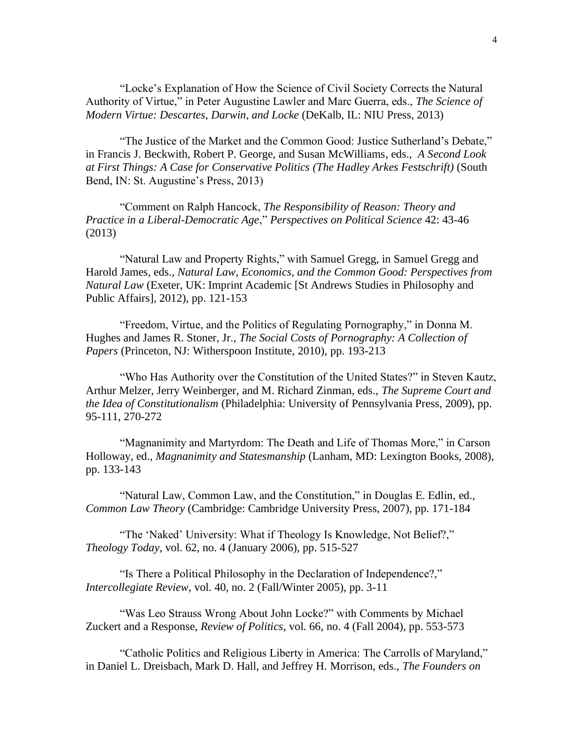"Locke's Explanation of How the Science of Civil Society Corrects the Natural Authority of Virtue," in Peter Augustine Lawler and Marc Guerra, eds., *The Science of Modern Virtue: Descartes, Darwin, and Locke* (DeKalb, IL: NIU Press, 2013)

"The Justice of the Market and the Common Good: Justice Sutherland's Debate," in Francis J. Beckwith, Robert P. George, and Susan McWilliams, eds., *A Second Look at First Things: A Case for Conservative Politics (The Hadley Arkes Festschrift)* (South Bend, IN: St. Augustine's Press, 2013)

"Comment on Ralph Hancock, *The Responsibility of Reason: Theory and Practice in a Liberal-Democratic Age*," *Perspectives on Political Science* 42: 43-46 (2013)

"Natural Law and Property Rights," with Samuel Gregg, in Samuel Gregg and Harold James, eds., *Natural Law, Economics, and the Common Good: Perspectives from Natural Law* (Exeter, UK: Imprint Academic [St Andrews Studies in Philosophy and Public Affairs], 2012), pp. 121-153

"Freedom, Virtue, and the Politics of Regulating Pornography," in Donna M. Hughes and James R. Stoner, Jr., *The Social Costs of Pornography: A Collection of Papers* (Princeton, NJ: Witherspoon Institute, 2010), pp. 193-213

"Who Has Authority over the Constitution of the United States?" in Steven Kautz, Arthur Melzer, Jerry Weinberger, and M. Richard Zinman, eds., *The Supreme Court and the Idea of Constitutionalism* (Philadelphia: University of Pennsylvania Press, 2009), pp. 95-111, 270-272

"Magnanimity and Martyrdom: The Death and Life of Thomas More," in Carson Holloway, ed., *Magnanimity and Statesmanship* (Lanham, MD: Lexington Books, 2008), pp. 133-143

"Natural Law, Common Law, and the Constitution," in Douglas E. Edlin, ed., *Common Law Theory* (Cambridge: Cambridge University Press, 2007), pp. 171-184

"The 'Naked' University: What if Theology Is Knowledge, Not Belief?," *Theology Today*, vol. 62, no. 4 (January 2006), pp. 515-527

"Is There a Political Philosophy in the Declaration of Independence?," *Intercollegiate Review*, vol. 40, no. 2 (Fall/Winter 2005), pp. 3-11

"Was Leo Strauss Wrong About John Locke?" with Comments by Michael Zuckert and a Response, *Review of Politics*, vol. 66, no. 4 (Fall 2004), pp. 553-573

"Catholic Politics and Religious Liberty in America: The Carrolls of Maryland," in Daniel L. Dreisbach, Mark D. Hall, and Jeffrey H. Morrison, eds., *The Founders on*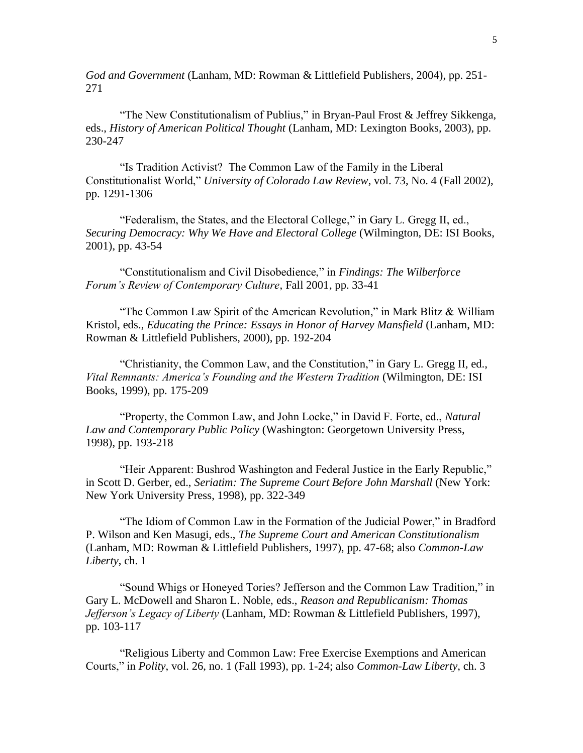*God and Government* (Lanham, MD: Rowman & Littlefield Publishers, 2004), pp. 251- 271

"The New Constitutionalism of Publius," in Bryan-Paul Frost & Jeffrey Sikkenga, eds., *History of American Political Thought* (Lanham, MD: Lexington Books, 2003), pp. 230-247

"Is Tradition Activist? The Common Law of the Family in the Liberal Constitutionalist World," *University of Colorado Law Review*, vol. 73, No. 4 (Fall 2002), pp. 1291-1306

"Federalism, the States, and the Electoral College," in Gary L. Gregg II, ed., *Securing Democracy: Why We Have and Electoral College* (Wilmington, DE: ISI Books, 2001), pp. 43-54

"Constitutionalism and Civil Disobedience," in *Findings: The Wilberforce Forum's Review of Contemporary Culture*, Fall 2001, pp. 33-41

"The Common Law Spirit of the American Revolution," in Mark Blitz & William Kristol, eds., *Educating the Prince: Essays in Honor of Harvey Mansfield* (Lanham, MD: Rowman & Littlefield Publishers, 2000), pp. 192-204

"Christianity, the Common Law, and the Constitution," in Gary L. Gregg II, ed., *Vital Remnants: America's Founding and the Western Tradition* (Wilmington, DE: ISI Books, 1999), pp. 175-209

"Property, the Common Law, and John Locke," in David F. Forte, ed., *Natural Law and Contemporary Public Policy* (Washington: Georgetown University Press, 1998), pp. 193-218

"Heir Apparent: Bushrod Washington and Federal Justice in the Early Republic," in Scott D. Gerber, ed., *Seriatim: The Supreme Court Before John Marshall* (New York: New York University Press, 1998), pp. 322-349

"The Idiom of Common Law in the Formation of the Judicial Power," in Bradford P. Wilson and Ken Masugi, eds., *The Supreme Court and American Constitutionalism* (Lanham, MD: Rowman & Littlefield Publishers, 1997), pp. 47-68; also *Common-Law Liberty*, ch. 1

"Sound Whigs or Honeyed Tories? Jefferson and the Common Law Tradition," in Gary L. McDowell and Sharon L. Noble, eds., *Reason and Republicanism: Thomas Jefferson's Legacy of Liberty* (Lanham, MD: Rowman & Littlefield Publishers, 1997), pp. 103-117

"Religious Liberty and Common Law: Free Exercise Exemptions and American Courts," in *Polity*, vol. 26, no. 1 (Fall 1993), pp. 1-24; also *Common-Law Liberty*, ch. 3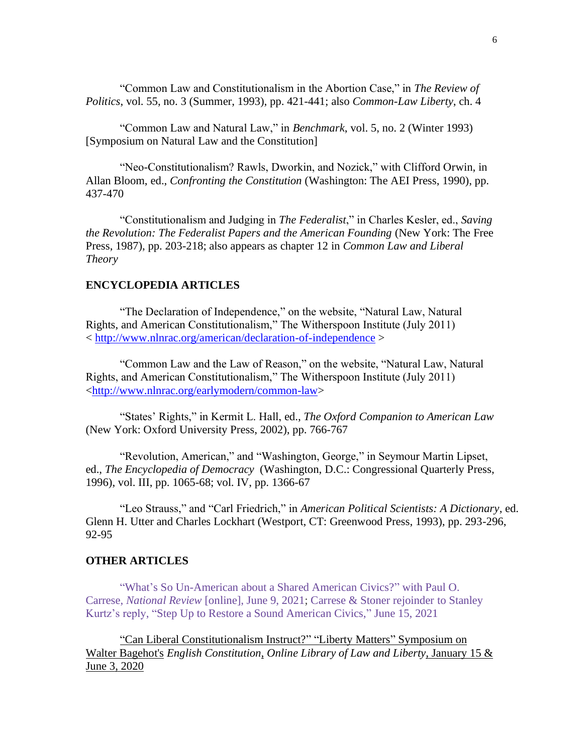"Common Law and Constitutionalism in the Abortion Case," in *The Review of Politics*, vol. 55, no. 3 (Summer, 1993), pp. 421-441; also *Common-Law Liberty*, ch. 4

"Common Law and Natural Law," in *Benchmark*, vol. 5, no. 2 (Winter 1993) [Symposium on Natural Law and the Constitution]

"Neo-Constitutionalism? Rawls, Dworkin, and Nozick," with Clifford Orwin, in Allan Bloom, ed., *Confronting the Constitution* (Washington: The AEI Press, 1990), pp. 437-470

"Constitutionalism and Judging in *The Federalist*," in Charles Kesler, ed., *Saving the Revolution: The Federalist Papers and the American Founding* (New York: The Free Press, 1987), pp. 203-218; also appears as chapter 12 in *Common Law and Liberal Theory*

### **ENCYCLOPEDIA ARTICLES**

"The Declaration of Independence," on the website, "Natural Law, Natural Rights, and American Constitutionalism," The Witherspoon Institute (July 2011) < <http://www.nlnrac.org/american/declaration-of-independence> >

"Common Law and the Law of Reason," on the website, "Natural Law, Natural Rights, and American Constitutionalism," The Witherspoon Institute (July 2011) [<http://www.nlnrac.org/earlymodern/common-law>](http://www.nlnrac.org/earlymodern/common-law)

"States' Rights," in Kermit L. Hall, ed., *The Oxford Companion to American Law* (New York: Oxford University Press, 2002), pp. 766-767

"Revolution, American," and "Washington, George," in Seymour Martin Lipset, ed., *The Encyclopedia of Democracy* (Washington, D.C.: Congressional Quarterly Press, 1996), vol. III, pp. 1065-68; vol. IV, pp. 1366-67

"Leo Strauss," and "Carl Friedrich," in *American Political Scientists: A Dictionary*, ed. Glenn H. Utter and Charles Lockhart (Westport, CT: Greenwood Press, 1993), pp. 293-296, 92-95

### **OTHER ARTICLES**

["What's So Un-American about a Shared American Civics?"](https://www.nationalreview.com/2021/06/whats-so-un-american-about-a-shared-american-civics/) with Paul O. Carrese, *National Review* [\[online\], June 9, 2021;](https://www.nationalreview.com/2021/06/whats-so-un-american-about-a-shared-american-civics/) [Carrese & Stoner rejoinder](https://www.nationalreview.com/corner/step-up-to-restore-a-sound-american-civics/) to Stanley [Kurtz's reply, "Step Up to Restore a Sound American Civics,"](https://www.nationalreview.com/corner/step-up-to-restore-a-sound-american-civics/) June 15, 2021

["Can Liberal Constitutionalism Instruct?"](https://oll.libertyfund.org/pages/lm-bagehot-causes-crises) "Liberty Matters" Symposium on Walter Bagehot's *English Constitution*, *[Online Library of Law and Liberty](https://oll.libertyfund.org/pages/lm-bagehot-causes-crises)*, January 15 & [June 3, 2020](https://oll.libertyfund.org/pages/lm-bagehot-causes-crises)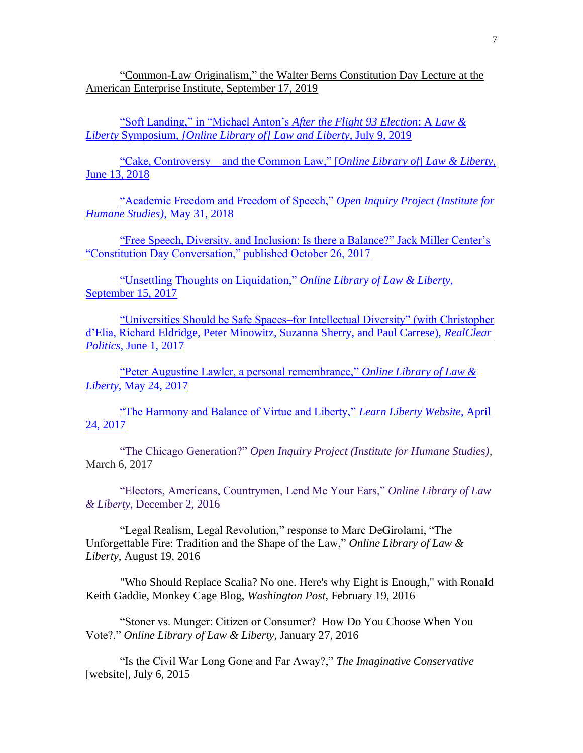"Common-Law Originalism," [the Walter Berns Constitution Day Lecture at the](https://www.aei.org/research-products/report/common-law-originalism/)  [American Enterprise Institute, September 17, 2019](https://www.aei.org/research-products/report/common-law-originalism/)

["Soft Landing," in "Michael Anton's](https://www.lawliberty.org/2019/07/09/soft-landing-after-flight-93-michael-anton/) *After the Flight 93 Election*: A *Law & Liberty* Symposium, *[\[Online Library of\] Law and Liberty](https://www.lawliberty.org/2019/07/09/soft-landing-after-flight-93-michael-anton/)*, July 9, 2019

["Cake, Controversy—and the Common Law," \[](http://www.libertylawsite.org/2018/06/13/cake-controversy-and-common-law/)*Online Library of*] *Law & Liberty*, [June 13, 2018](http://www.libertylawsite.org/2018/06/13/cake-controversy-and-common-law/)

["Academic Freedom and Freedom of Speech,"](http://openinquiryproject.org/our-stories/the-value-and-limits-of-academic-speech-a-collection-of-free-speech-essays/academic-speech-freedom/) *Open Inquiry Project (Institute for [Humane Studies\)](http://openinquiryproject.org/our-stories/the-value-and-limits-of-academic-speech-a-collection-of-free-speech-essays/academic-speech-freedom/)*, May 31, 2018

["Free Speech, Diversity, and Inclusion: Is there a Balance?" Jack Miller Center's](https://www.jackmillercenter.org/constitution-day/constitution-day-conversation-2017/)  ["Constitution Day Conversation," published October 26, 2017](https://www.jackmillercenter.org/constitution-day/constitution-day-conversation-2017/)

["Unsettling Thoughts on Liquidation,"](http://www.libertylawsite.org/liberty-forum/unsettling-thoughts-on-liquidation/) *Online Library of Law & Liberty*, [September 15, 2017](http://www.libertylawsite.org/liberty-forum/unsettling-thoughts-on-liquidation/)

["Universities Should be Safe Spaces–for Intellectual Diversity" \(with Christopher](http://www.realclearpolitics.com/articles/2017/06/01/universities_should_be_safe_spaces_--_for_intellectual_diversity__134055.html)  [d'Elia, Richard Eldridge, Peter Minowitz, Suzanna Sherry, and Paul Carrese\),](http://www.realclearpolitics.com/articles/2017/06/01/universities_should_be_safe_spaces_--_for_intellectual_diversity__134055.html) *RealClear Politics*[, June 1, 2017](http://www.realclearpolitics.com/articles/2017/06/01/universities_should_be_safe_spaces_--_for_intellectual_diversity__134055.html)

["Peter Augustine Lawler, a personal remembrance,"](http://www.libertylawsite.org/2017/05/24/peter-augustine-lawler-a-personal-remembrance/) *Online Library of Law & Liberty*[, May 24, 2017](http://www.libertylawsite.org/2017/05/24/peter-augustine-lawler-a-personal-remembrance/)

["The Harmony and Balance of Virtue and Liberty,"](http://www.learnliberty.org/blog/the-harmony-and-balance-of-virtue-and-liberty/) *Learn Liberty Website*, April [24, 2017](http://www.learnliberty.org/blog/the-harmony-and-balance-of-virtue-and-liberty/)

"The Chicago Generation?" *[Open Inquiry Project \(Institute for Humane Studies\)](http://openinquiryproject.org/blog/the-chicago-generation/)*, March 6, 2017

["Electors, Americans, Countrymen, Lend Me Your Ears,"](http://www.libertylawsite.org/2016/12/02/electors-americans-countrymen-lend-me-your-ears/) *Online Library of Law & Liberty*[, December 2, 2016](http://www.libertylawsite.org/2016/12/02/electors-americans-countrymen-lend-me-your-ears/)

["Legal Realism, Legal Revolution," response to Marc](http://www.libertylawsite.org/liberty-forum/legal-realism-legal-revolution/) DeGirolami, "The [Unforgettable Fire: Tradition and the Shape of the Law,"](http://www.libertylawsite.org/liberty-forum/legal-realism-legal-revolution/) *Online Library of Law & Liberty*[, August 19, 2016](http://www.libertylawsite.org/liberty-forum/legal-realism-legal-revolution/)

["Who Should Replace Scalia? No one. Here's why Eight is Enough," with Ronald](https://www.washingtonpost.com/news/monkey-cage/wp/2016/02/19/why-not-change-the-supreme-court-to-eight-justices-permanently/)  [Keith Gaddie, Monkey Cage Blog,](https://www.washingtonpost.com/news/monkey-cage/wp/2016/02/19/why-not-change-the-supreme-court-to-eight-justices-permanently/) *Washington Post*, February 19, 2016

["Stoner vs. Munger: Citizen or Consumer? How Do You Choose When You](http://www.libertylawsite.org/2016/01/27/stoner-vs-munger-citizen-or-consumer-how-do-you-choose-when-you-vote/)  Vote?," *[Online Library of Law &](http://www.libertylawsite.org/2016/01/27/stoner-vs-munger-citizen-or-consumer-how-do-you-choose-when-you-vote/) Liberty*, January 27, 2016

["Is the Civil War Long Gone and Far Away?,"](http://www.theimaginativeconservative.org/2015/07/is-the-civil-war-long-gone-and-far-away.html) *The Imaginative Conservative* [\[website\], July 6, 2015](http://www.theimaginativeconservative.org/2015/07/is-the-civil-war-long-gone-and-far-away.html)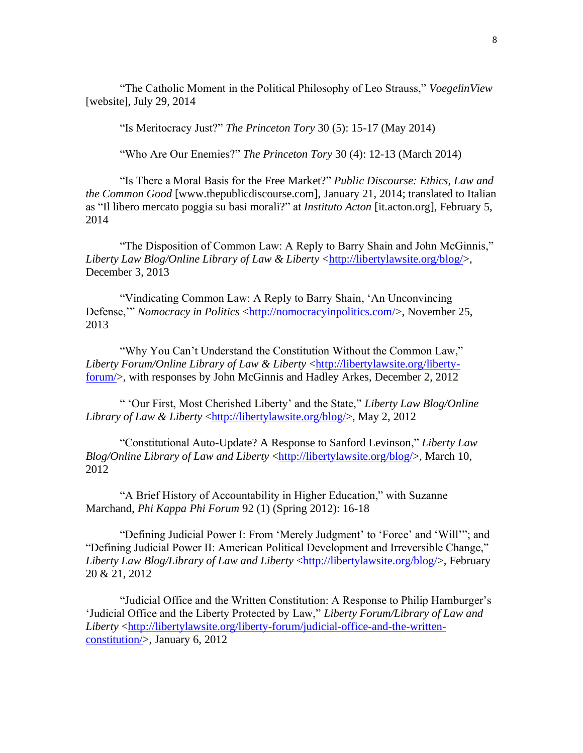["The Catholic Moment in the Political Philosophy of Leo Strauss,"](http://voegelinview.com/catholic-moment-political-philosophy-leo-strauss/) *VoegelinView* [\[website\], July 29, 2014](http://voegelinview.com/catholic-moment-political-philosophy-leo-strauss/)

["Is Meritocracy Just?"](http://theprincetontory.com/main/is-meritocracy-just/) *The Princeton Tory* 30 (5): 15-17 (May 2014)

["Who Are Our Enemies?"](http://theprincetontory.com/main/who-are-our-enemies/) *The Princeton Tory* 30 (4): 12-13 (March 2014)

"Is There a Moral Basis for the Free Market?" *Public Discourse: Ethics, Law and the Common Good* [www.thepublicdiscourse.com], January 21, 2014; translated to Italian as ["Il libero mercato poggia su basi morali?"](http://it.acton.org/article/02/05/2014/il-libero-mercato-poggia-su-basi-morali) at *Instituto Acton* [it.acton.org], February 5, 2014

"The Disposition of Common Law: A Reply to Barry Shain and John McGinnis," *Liberty Law Blog/Online Library of Law & Liberty* [<http://libertylawsite.org/blog/>](http://libertylawsite.org/blog/), December 3, 2013

"Vindicating Common Law: A Reply to Barry Shain, 'An Unconvincing Defense," *Nomocracy in Politics* [<http://nomocracyinpolitics.com/>](http://nomocracyinpolitics.com/2013/11/25/vindicating-common-law-a-reply-to-barry-shain-an-unconvincing-defense-by-james-r-stoner-jr/), November 25, 2013

"Why You Can't Understand the Constitution Without the Common Law," *Liberty Forum/Online Library of Law & Liberty* [<http://libertylawsite.org/liberty](http://libertylawsite.org/liberty-forum/)[forum/>](http://libertylawsite.org/liberty-forum/), with responses by John McGinnis and Hadley Arkes, December 2, 2012

" 'Our First, Most Cherished Liberty' and the State," *Liberty Law Blog/Online Library of Law & Liberty [<http://libertylawsite.org/blog/>](http://libertylawsite.org/blog/), May 2, 2012* 

"Constitutional Auto-Update? A Response to Sanford Levinson," *Liberty Law Blog/Online Library of Law and Liberty [<http://libertylawsite.org/blog/>](http://libertylawsite.org/blog/), March 10,* 2012

"A Brief History of Accountability in Higher Education," with Suzanne Marchand, *Phi Kappa Phi Forum* 92 (1) (Spring 2012): 16-18

"Defining Judicial Power I: From 'Merely Judgment' to 'Force' and 'Will'"; and "Defining Judicial Power II: American Political Development and Irreversible Change," *Liberty Law Blog/Library of Law and Liberty [<http://libertylawsite.org/blog/>](http://libertylawsite.org/blog/), February* 20 & 21, 2012

"Judicial Office and the Written Constitution: A Response to Philip Hamburger's 'Judicial Office and the Liberty Protected by Law," *Liberty Forum/Library of Law and Liberty* [<http://libertylawsite.org/liberty-forum/judicial-office-and-the-written](http://libertylawsite.org/liberty-forum/judicial-office-and-the-written-constitution/)[constitution/>](http://libertylawsite.org/liberty-forum/judicial-office-and-the-written-constitution/), January 6, 2012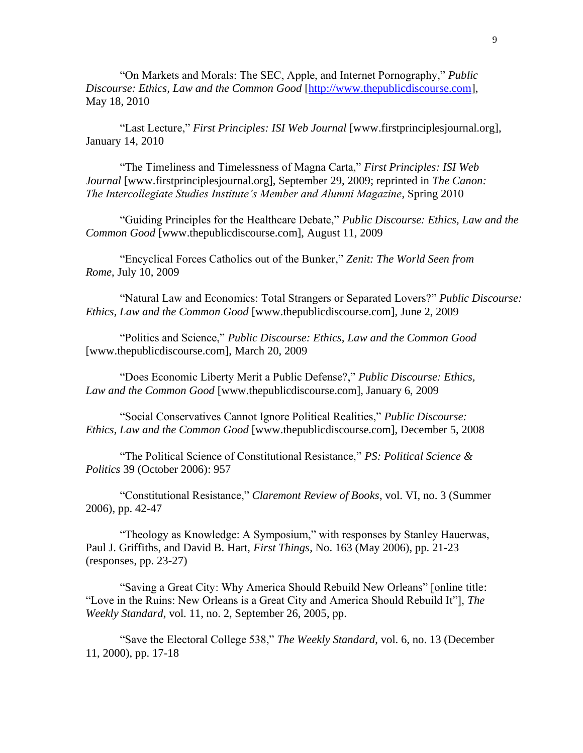"On Markets and Morals: The SEC, Apple, and Internet Pornography," *Public Discourse: Ethics, Law and the Common Good* [\[http://www.thepublicdiscourse.com\]](http://www.thepublicdiscourse.com/), May 18, 2010

"Last Lecture," *First Principles: ISI Web Journal* [www.firstprinciplesjournal.org], January 14, 2010

"The Timeliness and Timelessness of Magna Carta," *First Principles: ISI Web Journal* [www.firstprinciplesjournal.org], September 29, 2009; reprinted in *The Canon: The Intercollegiate Studies Institute's Member and Alumni Magazine*, Spring 2010

"Guiding Principles for the Healthcare Debate," *Public Discourse: Ethics, Law and the Common Good* [www.thepublicdiscourse.com], August 11, 2009

"Encyclical Forces Catholics out of the Bunker," *Zenit: The World Seen from Rome*, July 10, 2009

"Natural Law and Economics: Total Strangers or Separated Lovers?" *Public Discourse: Ethics, Law and the Common Good* [www.thepublicdiscourse.com], June 2, 2009

"Politics and Science," *Public Discourse: Ethics, Law and the Common Good* [www.thepublicdiscourse.com], March 20, 2009

"Does Economic Liberty Merit a Public Defense?," *Public Discourse: Ethics, Law and the Common Good* [www.thepublicdiscourse.com], January 6, 2009

"Social Conservatives Cannot Ignore Political Realities," *Public Discourse: Ethics, Law and the Common Good* [www.thepublicdiscourse.com], December 5, 2008

"The Political Science of Constitutional Resistance," *[PS: Political Science &](https://journals.cambridge.org/action/displayFulltext?fromPage=online&type=6&fid=S1049096506291182&aid=506708&next=true&jid=PSC&volumeId=39&issueId=04&next=Y)  [Politics](https://journals.cambridge.org/action/displayFulltext?fromPage=online&type=6&fid=S1049096506291182&aid=506708&next=true&jid=PSC&volumeId=39&issueId=04&next=Y)* 39 (October 2006): 957

"Constitutional Resistance," *Claremont Review of Books*, vol. VI, no. 3 (Summer 2006), pp. 42-47

"Theology as Knowledge: A Symposium," with responses by Stanley Hauerwas, Paul J. Griffiths, and David B. Hart, *First Things*, No. 163 (May 2006), pp. 21-23 (responses, pp. 23-27)

"Saving a Great City: Why America Should Rebuild New Orleans" [online title: "Love in the Ruins: New Orleans is a Great City and America Should Rebuild It"], *The Weekly Standard*, vol. 11, no. 2, September 26, 2005, pp.

"Save the Electoral College 538," *The Weekly Standard*, vol. 6, no. 13 (December 11, 2000), pp. 17-18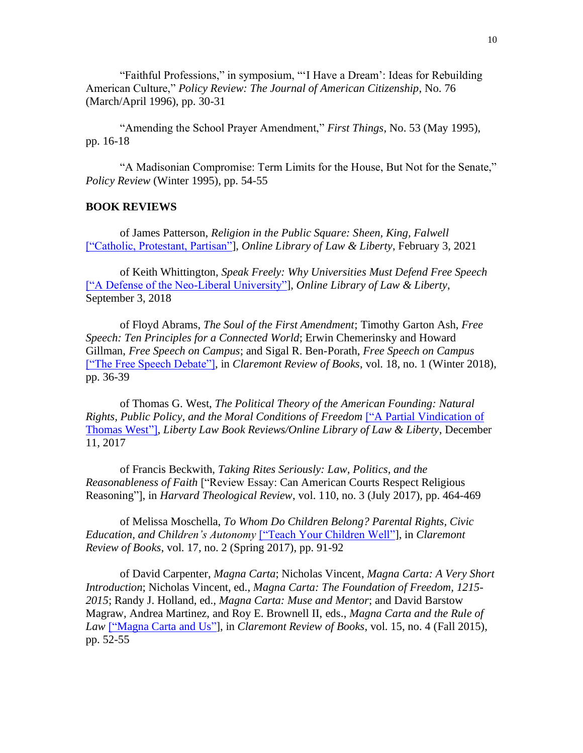"Faithful Professions," in symposium, "'I Have a Dream': Ideas for Rebuilding American Culture," *Policy Review: The Journal of American Citizenship*, No. 76 (March/April 1996), pp. 30-31

"Amending the School Prayer Amendment," *First Things*, No. 53 (May 1995), pp. 16-18

"A Madisonian Compromise: Term Limits for the House, But Not for the Senate," *Policy Review* (Winter 1995), pp. 54-55

#### **BOOK REVIEWS**

of James Patterson, *Religion in the Public Square: Sheen, King, Falwell* [\["Catholic, Protestant, Partisan"\]](https://lawliberty.org/book-review/americanism-and-christian-faith/), *Online Library of Law & Liberty*, February 3, 2021

of Keith Whittington, *Speak Freely: Why Universities Must Defend Free Speech*  [\["A Defense of the Neo-Liberal University"\]](https://www.lawliberty.org/2018/09/03/a-defense-of-the-neoliberal-university/), *Online Library of Law & Liberty*, September 3, 2018

of Floyd Abrams, *The Soul of the First Amendment*; Timothy Garton Ash, *Free Speech: Ten Principles for a Connected World*; Erwin Chemerinsky and Howard Gillman, *Free Speech on Campus*; and Sigal R. Ben-Porath, *Free Speech on Campus* [\["The Free Speech Debate"\],](https://www.claremont.org/crb/article/the-free-speech-debate/) in *Claremont Review of Books*, vol. 18, no. 1 (Winter 2018), pp. 36-39

of Thomas G. West, *The Political Theory of the American Founding: Natural Rights, Public Policy, and the Moral Conditions of Freedom* [\["A Partial Vindication](http://www.libertylawsite.org/book-review/a-partial-vindication-of-thomas-west/) of [Thomas West"\],](http://www.libertylawsite.org/book-review/a-partial-vindication-of-thomas-west/) *Liberty Law Book Reviews/Online Library of Law & Liberty*, December 11, 2017

of Francis Beckwith, *Taking Rites Seriously: Law, Politics, and the Reasonableness of Faith* ["Review Essay: Can American Courts Respect Religious Reasoning"], in *Harvard Theological Review*, vol. 110, no. 3 (July 2017), pp. 464-469

of Melissa Moschella, *To Whom Do Children Belong? Parental Rights, Civic Education, and Children's Autonomy* [\["Teach Your Children Well"\]](http://www.claremont.org/crb/article/teach-your-children-well/), in *Claremont Review of Books*, vol. 17, no. 2 (Spring 2017), pp. 91-92

of David Carpenter, *Magna Carta*; Nicholas Vincent, *Magna Carta: A Very Short Introduction*; Nicholas Vincent, ed., *Magna Carta: The Foundation of Freedom, 1215- 2015*; Randy J. Holland, ed., *Magna Carta: Muse and Mentor*; and David Barstow Magraw, Andrea Martinez, and Roy E. Brownell II, eds., *Magna Carta and the Rule of Law* [\["Magna Carta and Us"\]](http://www.claremont.org/crb/article/magna-carta-and-us/), in *Claremont Review of Books*, vol. 15, no. 4 (Fall 2015), pp. 52-55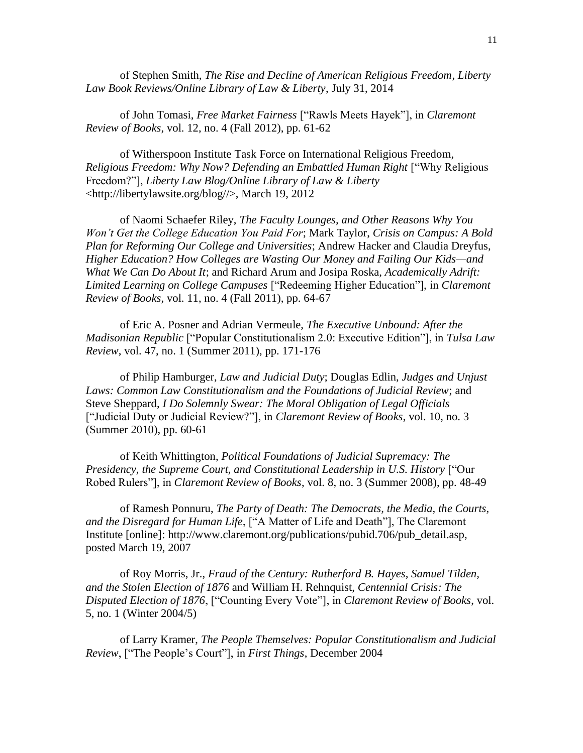of Stephen Smith, *The Rise and Decline of American Religious Freedom*, *Liberty Law Book Reviews/Online Library of Law & Liberty*, July 31, 2014

of John Tomasi, *Free Market Fairness* ["Rawls Meets Hayek"], in *Claremont Review of Books*, vol. 12, no. 4 (Fall 2012), pp. 61-62

of Witherspoon Institute Task Force on International Religious Freedom, *Religious Freedom: Why Now? Defending an Embattled Human Right* ["Why Religious Freedom?"], *Liberty Law Blog/Online Library of Law & Liberty* <http://libertylawsite.org/blog//>, March 19, 2012

of Naomi Schaefer Riley, *The Faculty Lounges, and Other Reasons Why You Won't Get the College Education You Paid For*; Mark Taylor, *Crisis on Campus: A Bold Plan for Reforming Our College and Universities*; Andrew Hacker and Claudia Dreyfus, *Higher Education? How Colleges are Wasting Our Money and Failing Our Kids—and What We Can Do About It*; and Richard Arum and Josipa Roska, *Academically Adrift: Limited Learning on College Campuses* ["Redeeming Higher Education"], in *Claremont Review of Books*, vol. 11, no. 4 (Fall 2011), pp. 64-67

of Eric A. Posner and Adrian Vermeule, *The Executive Unbound: After the Madisonian Republic* ["Popular Constitutionalism 2.0: Executive Edition"], in *Tulsa Law Review*, vol. 47, no. 1 (Summer 2011), pp. 171-176

of Philip Hamburger, *Law and Judicial Duty*; Douglas Edlin, *Judges and Unjust Laws: Common Law Constitutionalism and the Foundations of Judicial Review*; and Steve Sheppard, *I Do Solemnly Swear: The Moral Obligation of Legal Officials* ["Judicial Duty or Judicial Review?"], in *Claremont Review of Books*, vol. 10, no. 3 (Summer 2010), pp. 60-61

of Keith Whittington, *Political Foundations of Judicial Supremacy: The Presidency, the Supreme Court, and Constitutional Leadership in U.S. History* ["Our Robed Rulers"], in *Claremont Review of Books*, vol. 8, no. 3 (Summer 2008), pp. 48-49

of Ramesh Ponnuru, *The Party of Death: The Democrats, the Media, the Courts, and the Disregard for Human Life*, ["A Matter of Life and Death"], The Claremont Institute [online]: http://www.claremont.org/publications/pubid.706/pub\_detail.asp, posted March 19, 2007

of Roy Morris, Jr., *Fraud of the Century: Rutherford B. Hayes, Samuel Tilden, and the Stolen Election of 1876* and William H. Rehnquist, *Centennial Crisis: The Disputed Election of 1876*, ["Counting Every Vote"], in *Claremont Review of Books*, vol. 5, no. 1 (Winter 2004/5)

of Larry Kramer, *The People Themselves: Popular Constitutionalism and Judicial Review*, ["The People's Court"], in *First Things*, December 2004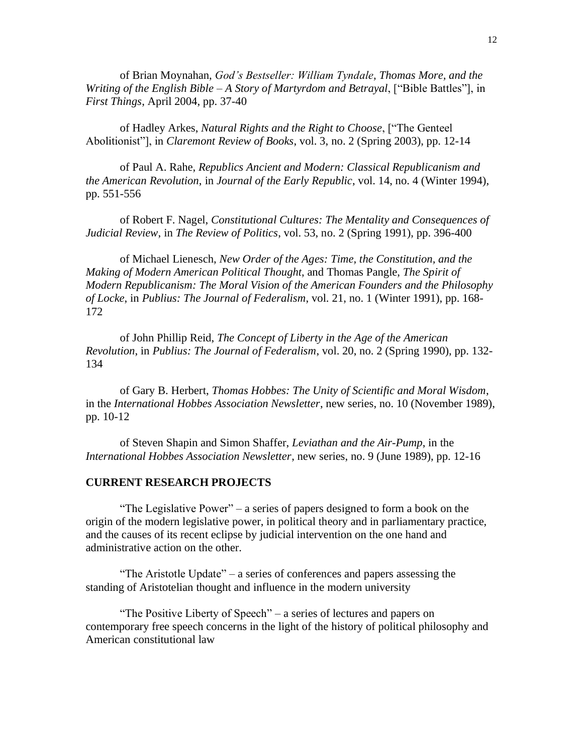of Brian Moynahan, *God's Bestseller: William Tyndale, Thomas More, and the Writing of the English Bible – A Story of Martyrdom and Betrayal*, ["Bible Battles"], in *First Things*, April 2004, pp. 37-40

of Hadley Arkes, *Natural Rights and the Right to Choose*, ["The Genteel Abolitionist"], in *Claremont Review of Books*, vol. 3, no. 2 (Spring 2003), pp. 12-14

of Paul A. Rahe, *Republics Ancient and Modern: Classical Republicanism and the American Revolution*, in *Journal of the Early Republic*, vol. 14, no. 4 (Winter 1994), pp. 551-556

of Robert F. Nagel, *Constitutional Cultures: The Mentality and Consequences of Judicial Review*, in *The Review of Politics*, vol. 53, no. 2 (Spring 1991), pp. 396-400

of Michael Lienesch, *New Order of the Ages: Time, the Constitution, and the Making of Modern American Political Thought*, and Thomas Pangle, *The Spirit of Modern Republicanism: The Moral Vision of the American Founders and the Philosophy of Locke*, in *Publius: The Journal of Federalism*, vol. 21, no. 1 (Winter 1991), pp. 168- 172

of John Phillip Reid, *The Concept of Liberty in the Age of the American Revolution*, in *Publius: The Journal of Federalism*, vol. 20, no. 2 (Spring 1990), pp. 132- 134

of Gary B. Herbert, *Thomas Hobbes: The Unity of Scientific and Moral Wisdom*, in the *International Hobbes Association Newsletter*, new series, no. 10 (November 1989), pp. 10-12

of Steven Shapin and Simon Shaffer, *Leviathan and the Air-Pump*, in the *International Hobbes Association Newsletter*, new series, no. 9 (June 1989), pp. 12-16

#### **CURRENT RESEARCH PROJECTS**

"The Legislative Power" – a series of papers designed to form a book on the origin of the modern legislative power, in political theory and in parliamentary practice, and the causes of its recent eclipse by judicial intervention on the one hand and administrative action on the other.

"The Aristotle Update" – a series of conferences and papers assessing the standing of Aristotelian thought and influence in the modern university

"The Positive Liberty of Speech" – a series of lectures and papers on contemporary free speech concerns in the light of the history of political philosophy and American constitutional law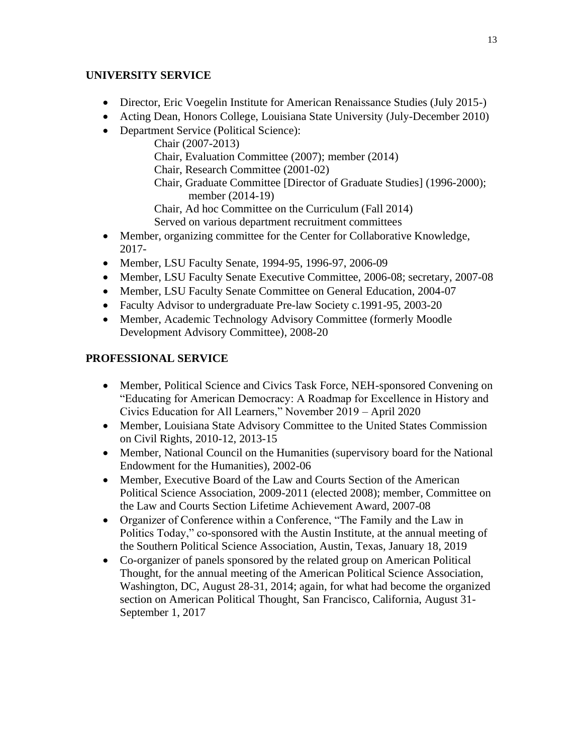# **UNIVERSITY SERVICE**

- Director, Eric Voegelin Institute for American Renaissance Studies (July 2015-)
- Acting Dean, Honors College, Louisiana State University (July-December 2010)
- Department Service (Political Science):

Chair (2007-2013) Chair, Evaluation Committee (2007); member (2014) Chair, Research Committee (2001-02) Chair, Graduate Committee [Director of Graduate Studies] (1996-2000); member (2014-19) Chair, Ad hoc Committee on the Curriculum (Fall 2014) Served on various department recruitment committees

- Member, organizing committee for the Center for Collaborative Knowledge, 2017-
- Member, LSU Faculty Senate, 1994-95, 1996-97, 2006-09
- Member, LSU Faculty Senate Executive Committee, 2006-08; secretary, 2007-08
- Member, LSU Faculty Senate Committee on General Education, 2004-07
- Faculty Advisor to undergraduate Pre-law Society c.1991-95, 2003-20
- Member, Academic Technology Advisory Committee (formerly Moodle Development Advisory Committee), 2008-20

# **PROFESSIONAL SERVICE**

- Member, Political Science and Civics Task Force, NEH-sponsored Convening on "Educating for American Democracy: A Roadmap for Excellence in History and Civics Education for All Learners," November 2019 – April 2020
- Member, Louisiana State Advisory Committee to the United States Commission on Civil Rights, 2010-12, 2013-15
- Member, National Council on the Humanities (supervisory board for the National Endowment for the Humanities), 2002-06
- Member, Executive Board of the Law and Courts Section of the American Political Science Association, 2009-2011 (elected 2008); member, Committee on the Law and Courts Section Lifetime Achievement Award, 2007-08
- Organizer of Conference within a Conference, "The Family and the Law in Politics Today," co-sponsored with the Austin Institute, at the annual meeting of the Southern Political Science Association, Austin, Texas, January 18, 2019
- Co-organizer of panels sponsored by the related group on American Political Thought, for the annual meeting of the American Political Science Association, Washington, DC, August 28-31, 2014; again, for what had become the organized section on American Political Thought, San Francisco, California, August 31- September 1, 2017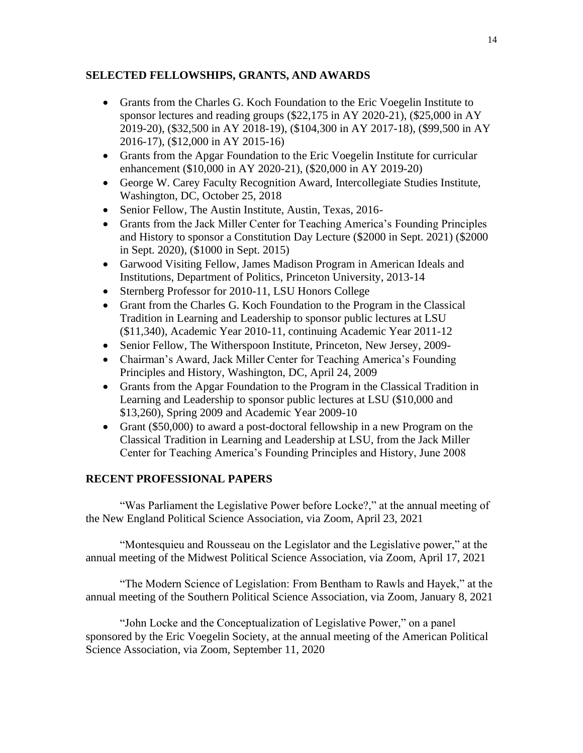## **SELECTED FELLOWSHIPS, GRANTS, AND AWARDS**

- Grants from the Charles G. Koch Foundation to the Eric Voegelin Institute to sponsor lectures and reading groups (\$22,175 in AY 2020-21), (\$25,000 in AY 2019-20), (\$32,500 in AY 2018-19), (\$104,300 in AY 2017-18), (\$99,500 in AY 2016-17), (\$12,000 in AY 2015-16)
- Grants from the Apgar Foundation to the Eric Voegelin Institute for curricular enhancement (\$10,000 in AY 2020-21), (\$20,000 in AY 2019-20)
- George W. Carey Faculty Recognition Award, Intercollegiate Studies Institute, Washington, DC, October 25, 2018
- Senior Fellow, The Austin Institute, Austin, Texas, 2016-
- Grants from the Jack Miller Center for Teaching America's Founding Principles and History to sponsor a Constitution Day Lecture (\$2000 in Sept. 2021) (\$2000 in Sept. 2020), (\$1000 in Sept. 2015)
- Garwood Visiting Fellow, James Madison Program in American Ideals and Institutions, Department of Politics, Princeton University, 2013-14
- Sternberg Professor for 2010-11, LSU Honors College
- Grant from the Charles G. Koch Foundation to the Program in the Classical Tradition in Learning and Leadership to sponsor public lectures at LSU (\$11,340), Academic Year 2010-11, continuing Academic Year 2011-12
- Senior Fellow, The Witherspoon Institute, Princeton, New Jersey, 2009-
- Chairman's Award, Jack Miller Center for Teaching America's Founding Principles and History, Washington, DC, April 24, 2009
- Grants from the Apgar Foundation to the Program in the Classical Tradition in Learning and Leadership to sponsor public lectures at LSU (\$10,000 and \$13,260), Spring 2009 and Academic Year 2009-10
- Grant (\$50,000) to award a post-doctoral fellowship in a new Program on the Classical Tradition in Learning and Leadership at LSU, from the Jack Miller Center for Teaching America's Founding Principles and History, June 2008

# **RECENT PROFESSIONAL PAPERS**

"Was Parliament the Legislative Power before Locke?," at the annual meeting of the New England Political Science Association, via Zoom, April 23, 2021

"Montesquieu and Rousseau on the Legislator and the Legislative power," at the annual meeting of the Midwest Political Science Association, via Zoom, April 17, 2021

"The Modern Science of Legislation: From Bentham to Rawls and Hayek," at the annual meeting of the Southern Political Science Association, via Zoom, January 8, 2021

"John Locke and the Conceptualization of Legislative Power," on a panel sponsored by the Eric Voegelin Society, at the annual meeting of the American Political Science Association, via Zoom, September 11, 2020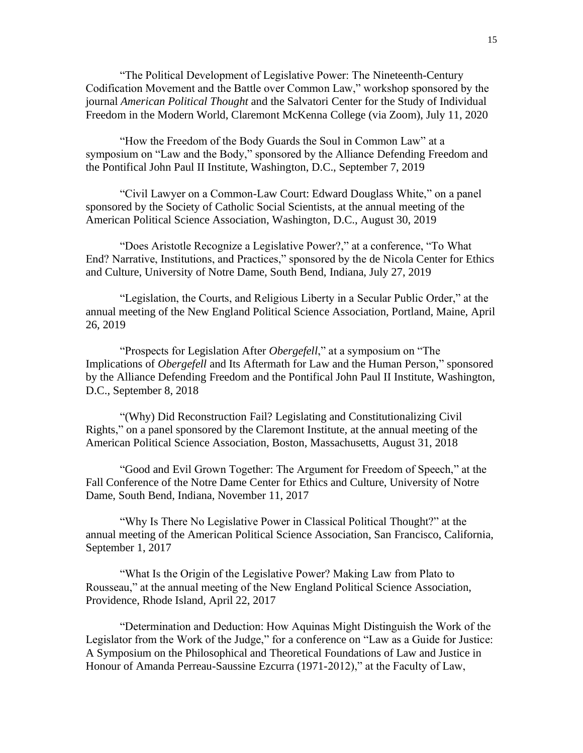"The Political Development of Legislative Power: The Nineteenth-Century Codification Movement and the Battle over Common Law," workshop sponsored by the journal *American Political Thought* and the Salvatori Center for the Study of Individual Freedom in the Modern World, Claremont McKenna College (via Zoom), July 11, 2020

"How the Freedom of the Body Guards the Soul in Common Law" at a symposium on "Law and the Body," sponsored by the Alliance Defending Freedom and the Pontifical John Paul II Institute, Washington, D.C., September 7, 2019

"Civil Lawyer on a Common-Law Court: Edward Douglass White," on a panel sponsored by the Society of Catholic Social Scientists, at the annual meeting of the American Political Science Association, Washington, D.C., August 30, 2019

"Does Aristotle Recognize a Legislative Power?," at a conference, "To What End? Narrative, Institutions, and Practices," sponsored by the de Nicola Center for Ethics and Culture, University of Notre Dame, South Bend, Indiana, July 27, 2019

"Legislation, the Courts, and Religious Liberty in a Secular Public Order," at the annual meeting of the New England Political Science Association, Portland, Maine, April 26, 2019

"Prospects for Legislation After *Obergefell*," at a symposium on "The Implications of *Obergefell* and Its Aftermath for Law and the Human Person," sponsored by the Alliance Defending Freedom and the Pontifical John Paul II Institute, Washington, D.C., September 8, 2018

"(Why) Did Reconstruction Fail? Legislating and Constitutionalizing Civil Rights," on a panel sponsored by the Claremont Institute, at the annual meeting of the American Political Science Association, Boston, Massachusetts, August 31, 2018

"Good and Evil Grown Together: The Argument for Freedom of Speech," at the Fall Conference of the Notre Dame Center for Ethics and Culture, University of Notre Dame, South Bend, Indiana, November 11, 2017

"Why Is There No Legislative Power in Classical Political Thought?" at the annual meeting of the American Political Science Association, San Francisco, California, September 1, 2017

"What Is the Origin of the Legislative Power? Making Law from Plato to Rousseau," at the annual meeting of the New England Political Science Association, Providence, Rhode Island, April 22, 2017

"Determination and Deduction: How Aquinas Might Distinguish the Work of the Legislator from the Work of the Judge," for a conference on "Law as a Guide for Justice: A Symposium on the Philosophical and Theoretical Foundations of Law and Justice in Honour of Amanda Perreau-Saussine Ezcurra (1971-2012)," at the Faculty of Law,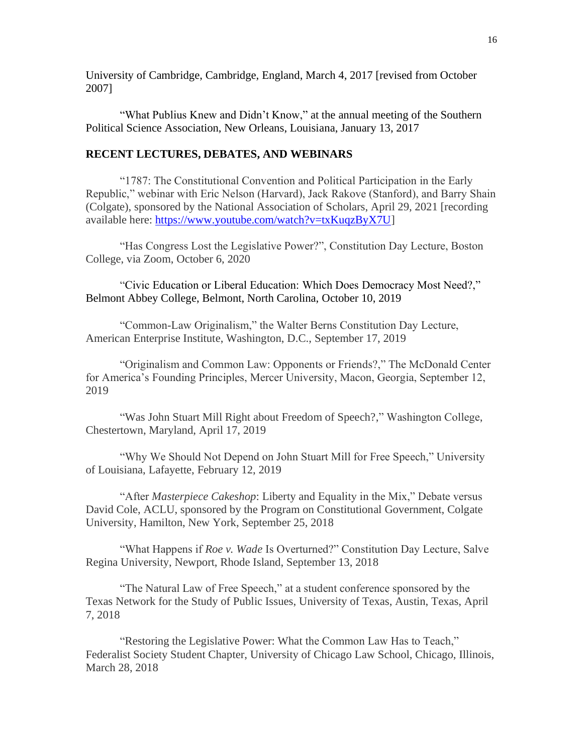University of Cambridge, Cambridge, England, March 4, 2017 [revised from October 2007]

"What Publius Knew and Didn't Know," at the annual meeting of the Southern Political Science Association, New Orleans, Louisiana, January 13, 2017

### **RECENT LECTURES, DEBATES, AND WEBINARS**

"1787: The Constitutional Convention and Political Participation in the Early Republic," webinar with Eric Nelson (Harvard), Jack Rakove (Stanford), and Barry Shain (Colgate), sponsored by the National Association of Scholars, April 29, 2021 [recording available here: [https://www.youtube.com/watch?v=txKuqzByX7U\]](https://www.youtube.com/watch?v=txKuqzByX7U)

"Has Congress Lost the Legislative Power?", Constitution Day Lecture, Boston College, via Zoom, October 6, 2020

"Civic Education or Liberal Education: Which Does Democracy Most Need?," Belmont Abbey College, Belmont, North Carolina, October 10, 2019

"Common-Law Originalism," the Walter Berns Constitution Day Lecture, American Enterprise Institute, Washington, D.C., September 17, 2019

"Originalism and Common Law: Opponents or Friends?," The McDonald Center for America's Founding Principles, Mercer University, Macon, Georgia, September 12, 2019

"Was John Stuart Mill Right about Freedom of Speech?," Washington College, Chestertown, Maryland, April 17, 2019

"Why We Should Not Depend on John Stuart Mill for Free Speech," University of Louisiana, Lafayette, February 12, 2019

"After *Masterpiece Cakeshop*: Liberty and Equality in the Mix," Debate versus David Cole, ACLU, sponsored by the Program on Constitutional Government, Colgate University, Hamilton, New York, September 25, 2018

"What Happens if *Roe v. Wade* Is Overturned?" Constitution Day Lecture, Salve Regina University, Newport, Rhode Island, September 13, 2018

"The Natural Law of Free Speech," at a student conference sponsored by the Texas Network for the Study of Public Issues, University of Texas, Austin, Texas, April 7, 2018

"Restoring the Legislative Power: What the Common Law Has to Teach," Federalist Society Student Chapter, University of Chicago Law School, Chicago, Illinois, March 28, 2018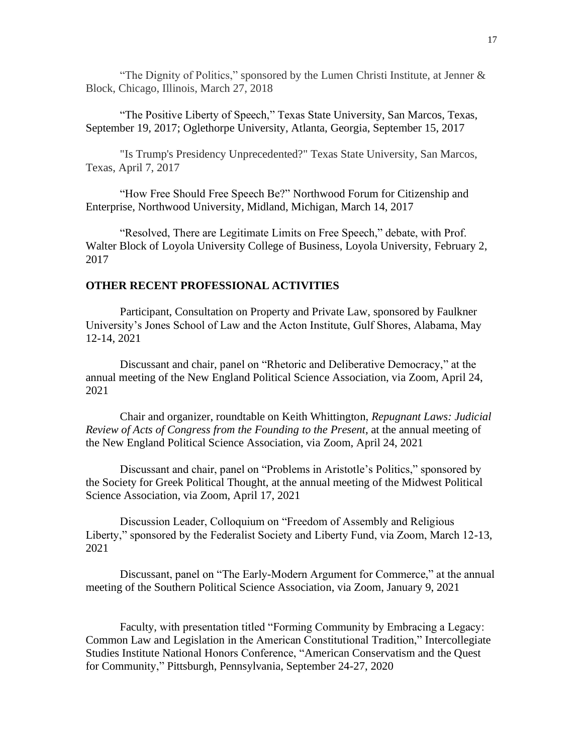"The Dignity of Politics," sponsored by the Lumen Christi Institute, at Jenner  $\&$ Block, Chicago, Illinois, March 27, 2018

"The Positive Liberty of Speech," Texas State University, San Marcos, Texas, September 19, 2017; Oglethorpe University, Atlanta, Georgia, September 15, 2017

"Is Trump's Presidency Unprecedented?" Texas State University, San Marcos, Texas, April 7, 2017

"How Free Should Free Speech Be?" Northwood Forum for Citizenship and Enterprise, Northwood University, Midland, Michigan, March 14, 2017

"Resolved, There are Legitimate Limits on Free Speech," debate, with Prof. Walter Block of Loyola University College of Business, Loyola University, February 2, 2017

#### **OTHER RECENT PROFESSIONAL ACTIVITIES**

Participant, Consultation on Property and Private Law, sponsored by Faulkner University's Jones School of Law and the Acton Institute, Gulf Shores, Alabama, May 12-14, 2021

Discussant and chair, panel on "Rhetoric and Deliberative Democracy," at the annual meeting of the New England Political Science Association, via Zoom, April 24, 2021

Chair and organizer, roundtable on Keith Whittington, *Repugnant Laws: Judicial Review of Acts of Congress from the Founding to the Present*, at the annual meeting of the New England Political Science Association, via Zoom, April 24, 2021

Discussant and chair, panel on "Problems in Aristotle's Politics," sponsored by the Society for Greek Political Thought, at the annual meeting of the Midwest Political Science Association, via Zoom, April 17, 2021

Discussion Leader, Colloquium on "Freedom of Assembly and Religious Liberty," sponsored by the Federalist Society and Liberty Fund, via Zoom, March 12-13, 2021

Discussant, panel on "The Early-Modern Argument for Commerce," at the annual meeting of the Southern Political Science Association, via Zoom, January 9, 2021

Faculty, with presentation titled "Forming Community by Embracing a Legacy: Common Law and Legislation in the American Constitutional Tradition," Intercollegiate Studies Institute National Honors Conference, "American Conservatism and the Quest for Community," Pittsburgh, Pennsylvania, September 24-27, 2020